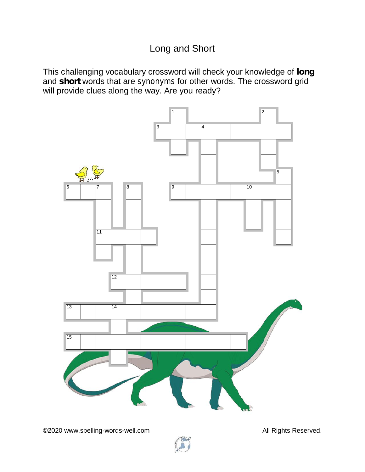## Long and Short

This challenging vocabulary crossword will check your knowledge of **long** and **short** words that are *synonyms* for other words. The crossword grid will provide clues along the way. Are you ready?



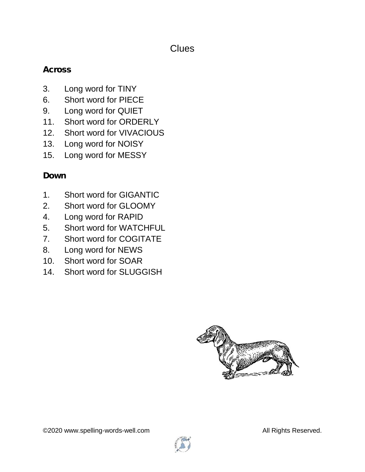#### **Clues**

#### **Across**

- 3. Long word for TINY
- 6. Short word for PIECE
- 9. Long word for QUIET
- 11. Short word for ORDERLY
- 12. Short word for VIVACIOUS
- 13. Long word for NOISY
- 15. Long word for MESSY

### **Down**

- 1. Short word for GIGANTIC
- 2. Short word for GLOOMY
- 4. Long word for RAPID
- 5. Short word for WATCHFUL
- 7. Short word for COGITATE
- 8. Long word for NEWS
- 10. Short word for SOAR
- 14. Short word for SLUGGISH